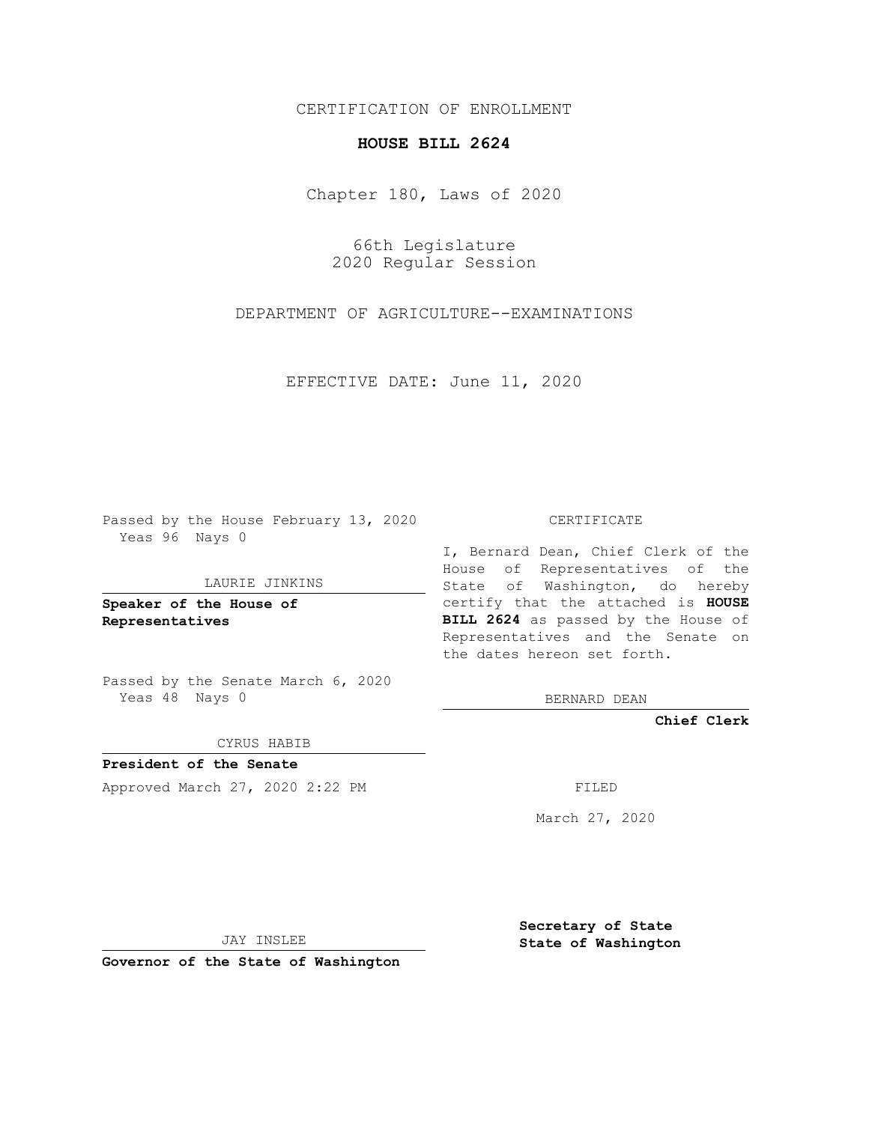## CERTIFICATION OF ENROLLMENT

# **HOUSE BILL 2624**

Chapter 180, Laws of 2020

66th Legislature 2020 Regular Session

DEPARTMENT OF AGRICULTURE--EXAMINATIONS

EFFECTIVE DATE: June 11, 2020

Passed by the House February 13, 2020 Yeas 96 Nays 0

### LAURIE JINKINS

**Speaker of the House of Representatives**

Passed by the Senate March 6, 2020 Yeas 48 Nays 0

#### CYRUS HABIB

**President of the Senate** Approved March 27, 2020 2:22 PM FILED

#### CERTIFICATE

I, Bernard Dean, Chief Clerk of the House of Representatives of the State of Washington, do hereby certify that the attached is **HOUSE BILL 2624** as passed by the House of Representatives and the Senate on the dates hereon set forth.

BERNARD DEAN

**Chief Clerk**

March 27, 2020

JAY INSLEE

**Governor of the State of Washington**

**Secretary of State State of Washington**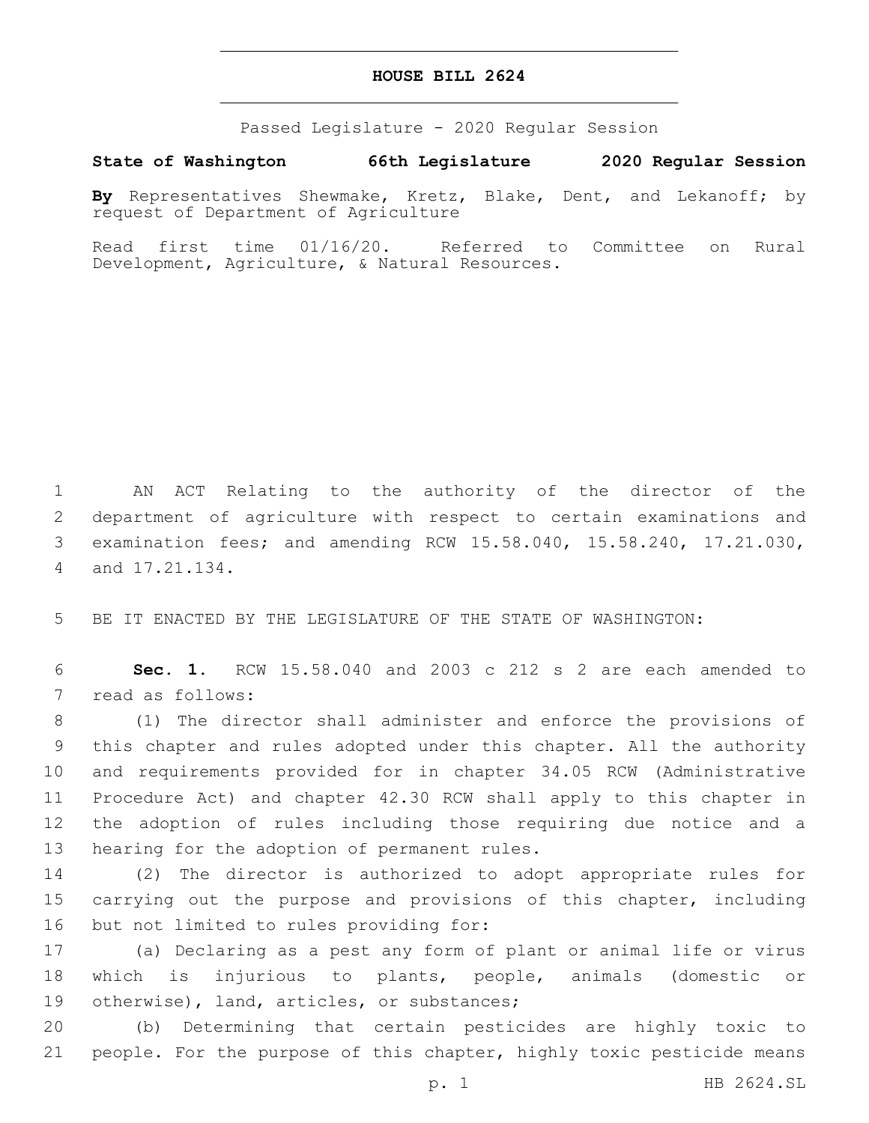## **HOUSE BILL 2624**

Passed Legislature - 2020 Regular Session

**State of Washington 66th Legislature 2020 Regular Session**

**By** Representatives Shewmake, Kretz, Blake, Dent, and Lekanoff; by request of Department of Agriculture

Read first time 01/16/20. Referred to Committee on Rural Development, Agriculture, & Natural Resources.

 AN ACT Relating to the authority of the director of the department of agriculture with respect to certain examinations and examination fees; and amending RCW 15.58.040, 15.58.240, 17.21.030, 4 and 17.21.134.

5 BE IT ENACTED BY THE LEGISLATURE OF THE STATE OF WASHINGTON:

6 **Sec. 1.** RCW 15.58.040 and 2003 c 212 s 2 are each amended to 7 read as follows:

 (1) The director shall administer and enforce the provisions of this chapter and rules adopted under this chapter. All the authority and requirements provided for in chapter 34.05 RCW (Administrative Procedure Act) and chapter 42.30 RCW shall apply to this chapter in the adoption of rules including those requiring due notice and a 13 hearing for the adoption of permanent rules.

14 (2) The director is authorized to adopt appropriate rules for 15 carrying out the purpose and provisions of this chapter, including 16 but not limited to rules providing for:

17 (a) Declaring as a pest any form of plant or animal life or virus 18 which is injurious to plants, people, animals (domestic or 19 otherwise), land, articles, or substances;

20 (b) Determining that certain pesticides are highly toxic to 21 people. For the purpose of this chapter, highly toxic pesticide means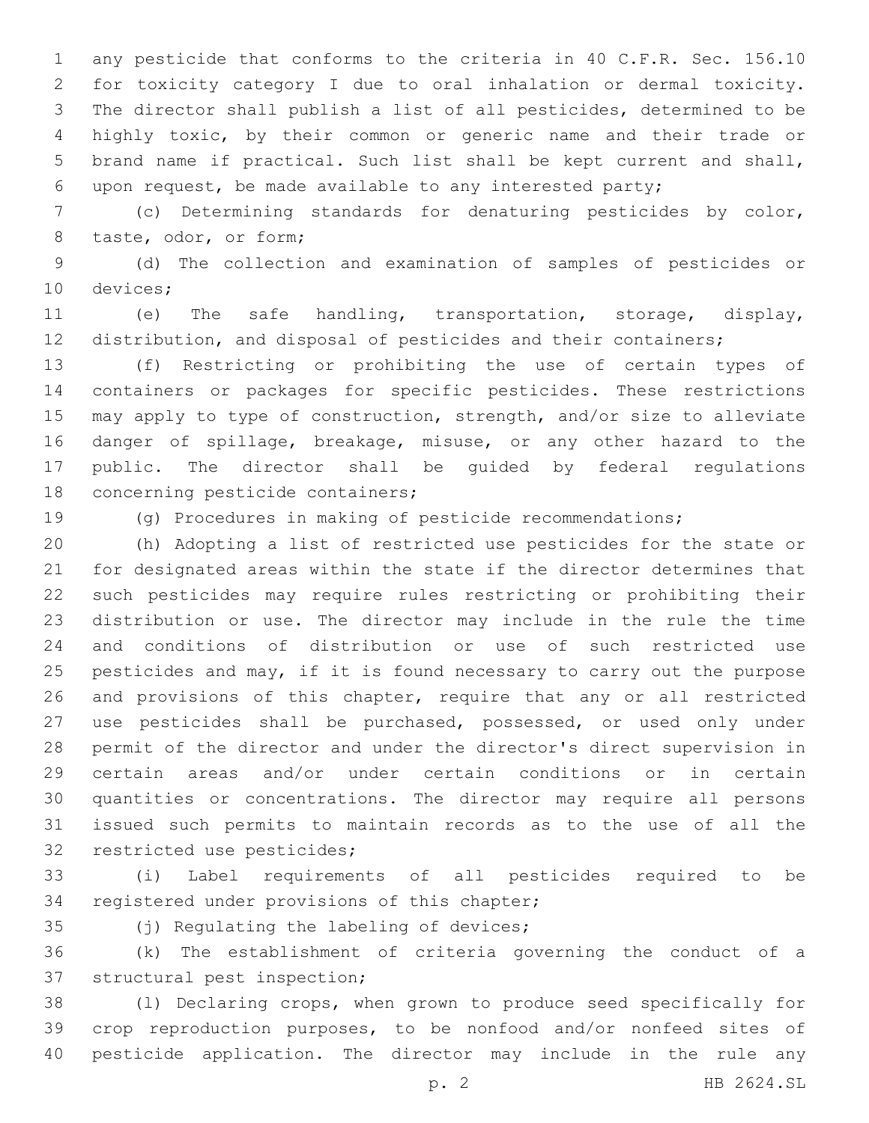1 any pesticide that conforms to the criteria in 40 C.F.R. Sec. 156.10 for toxicity category I due to oral inhalation or dermal toxicity. The director shall publish a list of all pesticides, determined to be highly toxic, by their common or generic name and their trade or brand name if practical. Such list shall be kept current and shall, upon request, be made available to any interested party;

 (c) Determining standards for denaturing pesticides by color, 8 taste, odor, or form;

 (d) The collection and examination of samples of pesticides or 10 devices;

 (e) The safe handling, transportation, storage, display, distribution, and disposal of pesticides and their containers;

 (f) Restricting or prohibiting the use of certain types of containers or packages for specific pesticides. These restrictions may apply to type of construction, strength, and/or size to alleviate danger of spillage, breakage, misuse, or any other hazard to the public. The director shall be guided by federal regulations 18 concerning pesticide containers;

(g) Procedures in making of pesticide recommendations;

 (h) Adopting a list of restricted use pesticides for the state or for designated areas within the state if the director determines that such pesticides may require rules restricting or prohibiting their distribution or use. The director may include in the rule the time and conditions of distribution or use of such restricted use 25 pesticides and may, if it is found necessary to carry out the purpose and provisions of this chapter, require that any or all restricted use pesticides shall be purchased, possessed, or used only under permit of the director and under the director's direct supervision in certain areas and/or under certain conditions or in certain quantities or concentrations. The director may require all persons issued such permits to maintain records as to the use of all the 32 restricted use pesticides;

 (i) Label requirements of all pesticides required to be 34 registered under provisions of this chapter;

35 (j) Regulating the labeling of devices;

 (k) The establishment of criteria governing the conduct of a 37 structural pest inspection;

 (l) Declaring crops, when grown to produce seed specifically for crop reproduction purposes, to be nonfood and/or nonfeed sites of pesticide application. The director may include in the rule any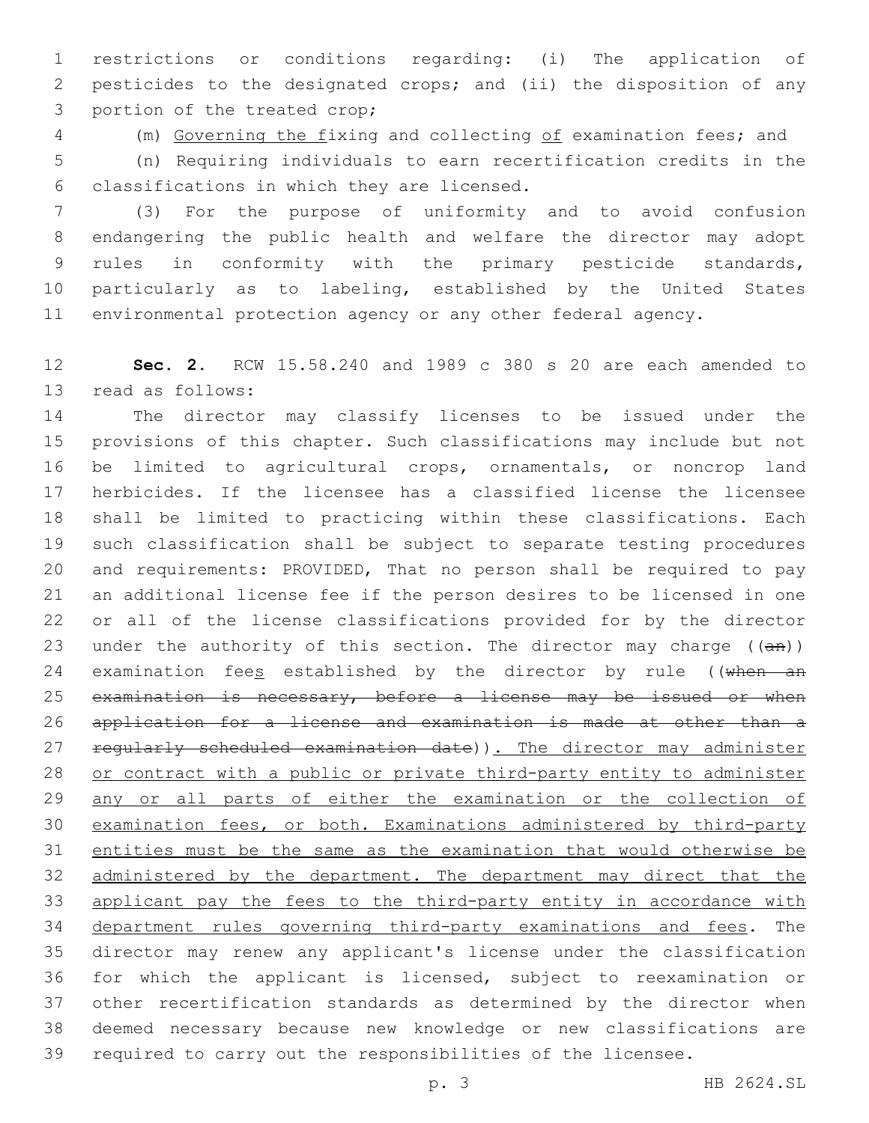restrictions or conditions regarding: (i) The application of pesticides to the designated crops; and (ii) the disposition of any 3 portion of the treated crop;

(m) Governing the fixing and collecting of examination fees; and

 (n) Requiring individuals to earn recertification credits in the classifications in which they are licensed.6

 (3) For the purpose of uniformity and to avoid confusion endangering the public health and welfare the director may adopt rules in conformity with the primary pesticide standards, particularly as to labeling, established by the United States environmental protection agency or any other federal agency.

 **Sec. 2.** RCW 15.58.240 and 1989 c 380 s 20 are each amended to 13 read as follows:

 The director may classify licenses to be issued under the provisions of this chapter. Such classifications may include but not be limited to agricultural crops, ornamentals, or noncrop land herbicides. If the licensee has a classified license the licensee shall be limited to practicing within these classifications. Each such classification shall be subject to separate testing procedures and requirements: PROVIDED, That no person shall be required to pay an additional license fee if the person desires to be licensed in one or all of the license classifications provided for by the director 23 under the authority of this section. The director may charge  $((an))$ 24 examination fees established by the director by rule ((when an 25 examination is necessary, before a license may be issued or when application for a license and examination is made at other than a 27 regularly scheduled examination date)). The director may administer or contract with a public or private third-party entity to administer 29 any or all parts of either the examination or the collection of examination fees, or both. Examinations administered by third-party entities must be the same as the examination that would otherwise be administered by the department. The department may direct that the 33 applicant pay the fees to the third-party entity in accordance with department rules governing third-party examinations and fees. The director may renew any applicant's license under the classification for which the applicant is licensed, subject to reexamination or other recertification standards as determined by the director when deemed necessary because new knowledge or new classifications are required to carry out the responsibilities of the licensee.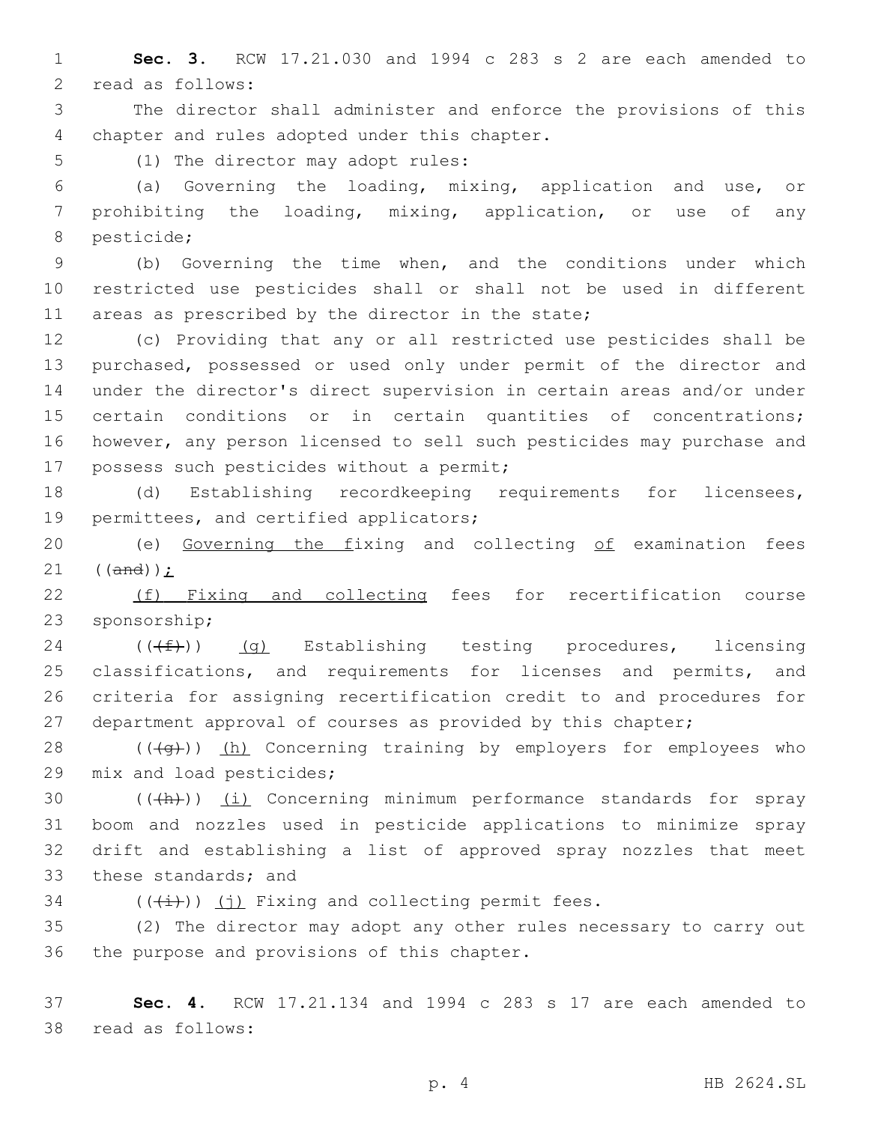1 **Sec. 3.** RCW 17.21.030 and 1994 c 283 s 2 are each amended to 2 read as follows:

3 The director shall administer and enforce the provisions of this 4 chapter and rules adopted under this chapter.

5 (1) The director may adopt rules:

6 (a) Governing the loading, mixing, application and use, or 7 prohibiting the loading, mixing, application, or use of any 8 pesticide;

9 (b) Governing the time when, and the conditions under which 10 restricted use pesticides shall or shall not be used in different 11 areas as prescribed by the director in the state;

 (c) Providing that any or all restricted use pesticides shall be purchased, possessed or used only under permit of the director and under the director's direct supervision in certain areas and/or under certain conditions or in certain quantities of concentrations; however, any person licensed to sell such pesticides may purchase and 17 possess such pesticides without a permit;

18 (d) Establishing recordkeeping requirements for licensees, 19 permittees, and certified applicators;

20 (e) Governing the fixing and collecting of examination fees 21  $((and))$ ;

22 (f) Fixing and collecting fees for recertification course 23 sponsorship;

24 ( $(\text{(+f-)})$  (g) Establishing testing procedures, licensing 25 classifications, and requirements for licenses and permits, and 26 criteria for assigning recertification credit to and procedures for 27 department approval of courses as provided by this chapter;

28 (((4g))) (h) Concerning training by employers for employees who 29 mix and load pesticides;

 $((+h))$   $(i)$  Concerning minimum performance standards for spray boom and nozzles used in pesticide applications to minimize spray drift and establishing a list of approved spray nozzles that meet 33 these standards; and

 $34$  (( $(\frac{1}{1})$ ) (j) Fixing and collecting permit fees.

35 (2) The director may adopt any other rules necessary to carry out 36 the purpose and provisions of this chapter.

37 **Sec. 4.** RCW 17.21.134 and 1994 c 283 s 17 are each amended to 38 read as follows:

p. 4 HB 2624.SL